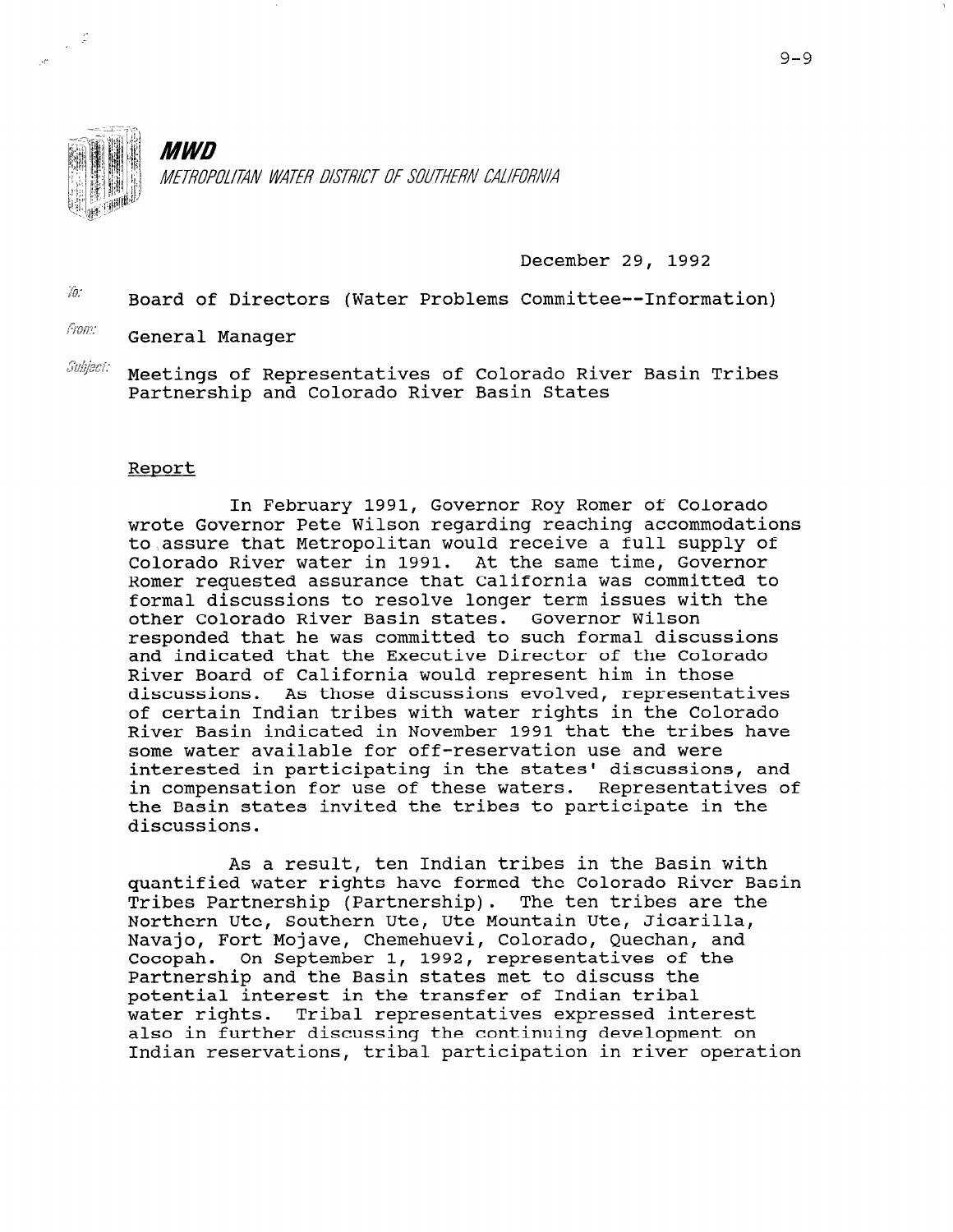

*MWD* METROPOLITAN WATER DISTRICT OF SOUTHERN CALIFORNIA

December 29, 1992

 $\frac{1}{10}$  Board of Directors (Water Problems Committee--Information)

From: General Manager

 $\emph{Subject}$  Meetings of Representatives of Colorado River Basin Tribes Partnership and Colorado River Basin States

## Report

In February 1991, Governor Roy Romer of Colorado wrote Governor Pete Wilson regarding reaching accommodations to,assure that Metropolitan would receive a full supply of Colorado River water in 1991. At the same time, Governor Romer requested assurance that California was committed to formal discussions to resolve longer term issues with the other Colorado River Basin states. Governor Wilson responded that he was committed to such formal discussions and indicated that the Executive Director of the Colorado River Board of California would represent him in those discussions. As those discussions evolved, representatives of certain Indian tribes with water rights in the Colorado River Basin indicated in November 1991 that the tribes have some water available for off-reservation use and were interested in participating in the states' discussions, and in compensation for use of these waters. Representatives of the Basin states invited the tribes to participate in the discussions.

As a result, ten Indian tribes in the Basin with quantified water rights have formed the Colorado River Basin Tribes Partnership (Partnership). The ten tribes are the Northern Ute, Southern Ute, Ute Mountain Ute, Jicarilla, NOI UNEIN Ote, SOUTHEIN Ote, Ote HOUNTAIN Ote, OITALILLA<br>Nexusie, Fort Mojeus, Chemehuevi, Colorado, Ouesban, and Navajo, Fort Mojave, Chemehuevi, Colorado, Quechan, and<br>Cocopah. On September 1, 1992, representatives of the Partnership and the Basin states met to discuss the potential interest in the transfer of Indian tribal potential interest in the transier of indian tribal<br>...t.w.wights...Tribal.wayorgantatives expressed interes water rights. Tribal representatives expressed interest also in further discussing the continuing development on<br>Indian reservations, tribal participation in river operation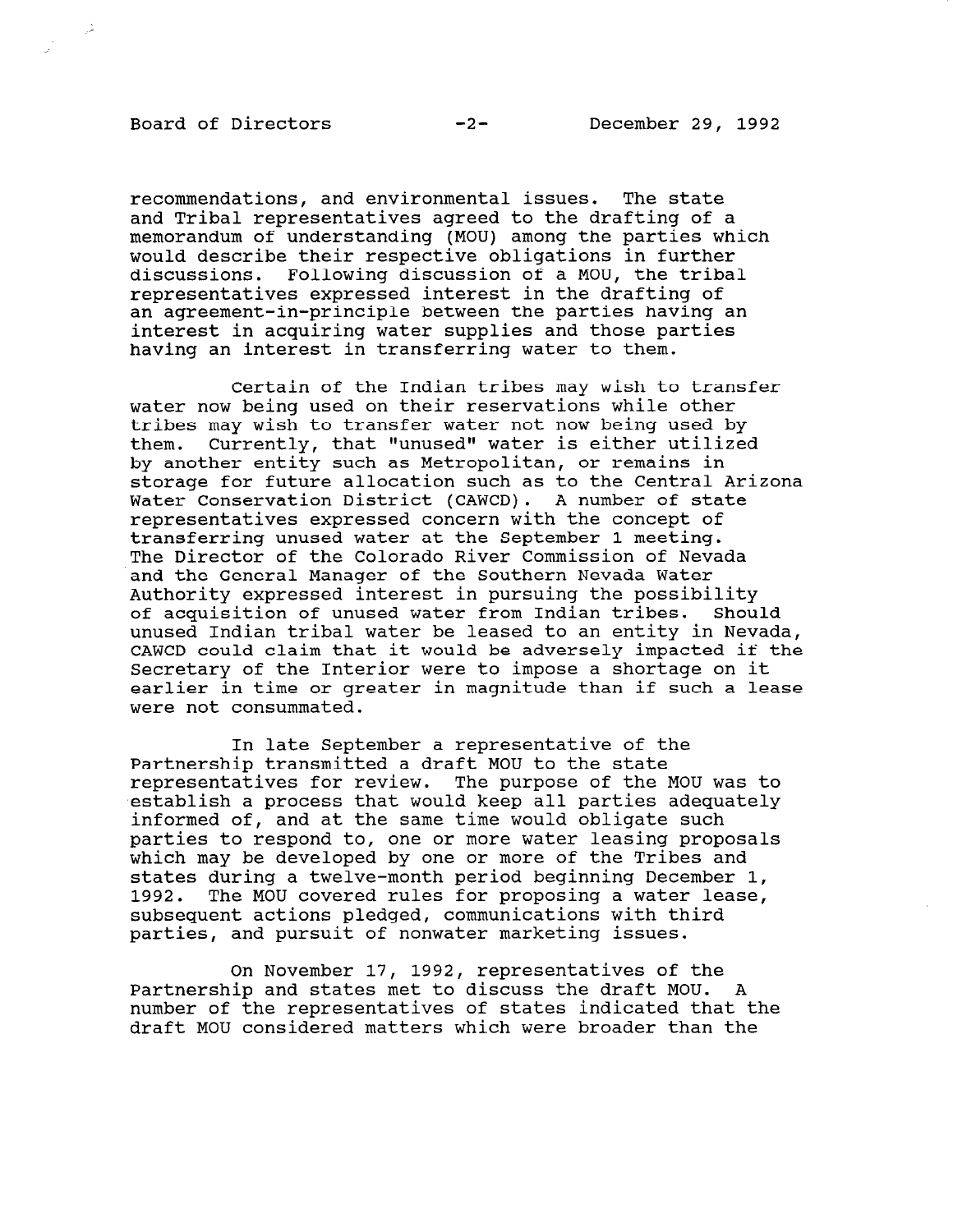recommendations, and environmental issues. The state and Tribal representatives agreed to the drafting of a memorandum of understanding (MOU) among the parties which would describe their respective obligations in further discussions. Following discussion of a MOU, the tribal representatives expressed interest in the drafting of an agreement-in-principle between the parties having an interest in acquiring water supplies and those parties having an interest in transferring water to them.

Certain of the Indian tribes may wish to transfer water now being used on their reservations while other tribes may wish to transfer water not now being used by them. Currently, that "unused" water is either utilized by another entity such as Metropolitan, or remains in storage for future allocation such as to the Central Arizona Water Conservation District (CAWCD). A number of state representatives expressed concern with the concept of transferring unused water at the September 1 meeting. The Director of the Colorado River Commission of Nevada and the General Manager of the Southern Nevada Water Authority expressed interest in pursuing the possibility of acquisition of unused water from Indian tribes. Should unused Indian tribal water be leased to an entity in Nevada, CAWCD could claim that it would be adversely impacted if the Secretary of the Interior were to impose a shortage on it earlier in time or greater in magnitude than if such a lease were not consummated.

In late September a representative of the Partnership transmitted a draft MOU to the state representatives for review. The purpose of the MOU was to establish a process that would keep all parties adequately informed of, and at the same time would obligate such parties to respond to, one or more water leasing proposals which may be developed by one or more of the Tribes and states during a twelve-month period beginning December 1, 1992. The MOU covered rules for proposing a water lease, subsequent actions pledged, communications with this pubsequent actions piedged, communications with

On November 17, 1992, representatives of the UI NOVEMBEL 17, 1992, LEPIESENCALIVES OF CHE ranumer simplanum states met to urscuss the urart mod. A draft Mount and development were designed and the second matters which were been dered than the